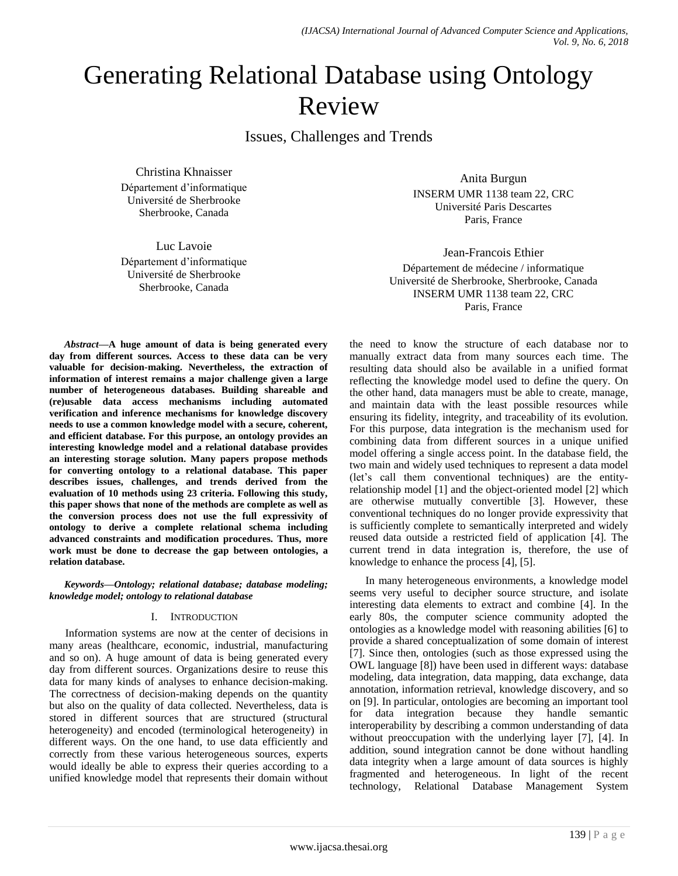# Generating Relational Database using Ontology Review

Issues, Challenges and Trends

Christina Khnaisser Département d'informatique Université de Sherbrooke Sherbrooke, Canada

Luc Lavoie Département d'informatique Université de Sherbrooke Sherbrooke, Canada

Anita Burgun INSERM UMR 1138 team 22, CRC Université Paris Descartes Paris, France

Jean-Francois Ethier Département de médecine / informatique Université de Sherbrooke, Sherbrooke, Canada INSERM UMR 1138 team 22, CRC Paris, France

*Abstract***—A huge amount of data is being generated every day from different sources. Access to these data can be very valuable for decision-making. Nevertheless, the extraction of information of interest remains a major challenge given a large number of heterogeneous databases. Building shareable and (re)usable data access mechanisms including automated verification and inference mechanisms for knowledge discovery needs to use a common knowledge model with a secure, coherent, and efficient database. For this purpose, an ontology provides an interesting knowledge model and a relational database provides an interesting storage solution. Many papers propose methods for converting ontology to a relational database. This paper describes issues, challenges, and trends derived from the evaluation of 10 methods using 23 criteria. Following this study, this paper shows that none of the methods are complete as well as the conversion process does not use the full expressivity of ontology to derive a complete relational schema including advanced constraints and modification procedures. Thus, more work must be done to decrease the gap between ontologies, a relation database.**

*Keywords—Ontology; relational database; database modeling; knowledge model; ontology to relational database*

## I. INTRODUCTION

Information systems are now at the center of decisions in many areas (healthcare, economic, industrial, manufacturing and so on). A huge amount of data is being generated every day from different sources. Organizations desire to reuse this data for many kinds of analyses to enhance decision-making. The correctness of decision-making depends on the quantity but also on the quality of data collected. Nevertheless, data is stored in different sources that are structured (structural heterogeneity) and encoded (terminological heterogeneity) in different ways. On the one hand, to use data efficiently and correctly from these various heterogeneous sources, experts would ideally be able to express their queries according to a unified knowledge model that represents their domain without the need to know the structure of each database nor to manually extract data from many sources each time. The resulting data should also be available in a unified format reflecting the knowledge model used to define the query. On the other hand, data managers must be able to create, manage, and maintain data with the least possible resources while ensuring its fidelity, integrity, and traceability of its evolution. For this purpose, data integration is the mechanism used for combining data from different sources in a unique unified model offering a single access point. In the database field, the two main and widely used techniques to represent a data model (let's call them conventional techniques) are the entityrelationship model [1] and the object-oriented model [2] which are otherwise mutually convertible [3]. However, these conventional techniques do no longer provide expressivity that is sufficiently complete to semantically interpreted and widely reused data outside a restricted field of application [4]. The current trend in data integration is, therefore, the use of knowledge to enhance the process [4], [5].

In many heterogeneous environments, a knowledge model seems very useful to decipher source structure, and isolate interesting data elements to extract and combine [4]. In the early 80s, the computer science community adopted the ontologies as a knowledge model with reasoning abilities [6] to provide a shared conceptualization of some domain of interest [7]. Since then, ontologies (such as those expressed using the OWL language [8]) have been used in different ways: database modeling, data integration, data mapping, data exchange, data annotation, information retrieval, knowledge discovery, and so on [9]. In particular, ontologies are becoming an important tool for data integration because they handle semantic interoperability by describing a common understanding of data without preoccupation with the underlying layer [7], [4]. In addition, sound integration cannot be done without handling data integrity when a large amount of data sources is highly fragmented and heterogeneous. In light of the recent technology, Relational Database Management System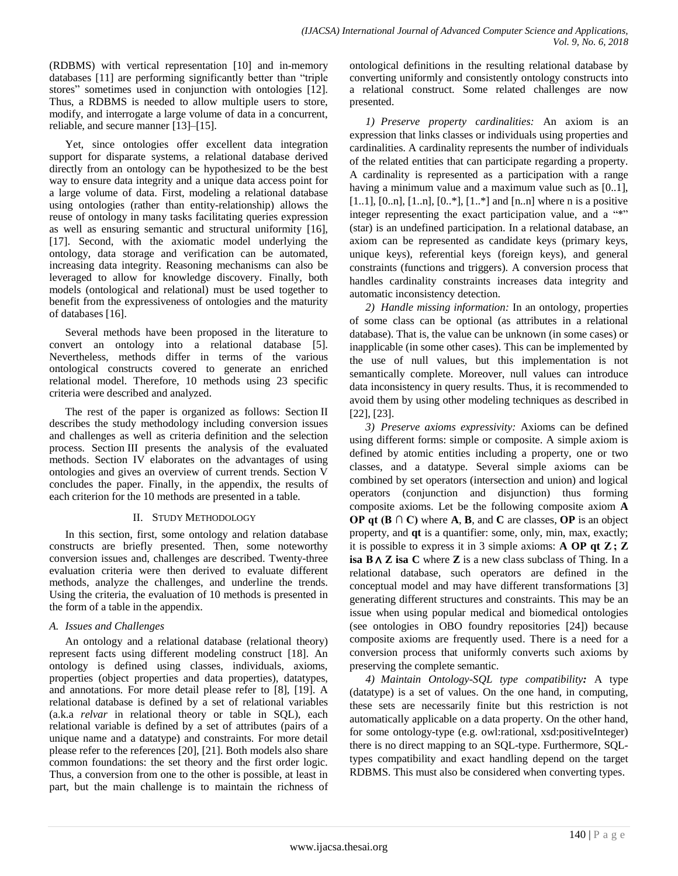(RDBMS) with vertical representation [10] and in-memory databases [11] are performing significantly better than "triple" stores" sometimes used in conjunction with ontologies [12]. Thus, a RDBMS is needed to allow multiple users to store, modify, and interrogate a large volume of data in a concurrent, reliable, and secure manner [13]–[15].

Yet, since ontologies offer excellent data integration support for disparate systems, a relational database derived directly from an ontology can be hypothesized to be the best way to ensure data integrity and a unique data access point for a large volume of data. First, modeling a relational database using ontologies (rather than entity-relationship) allows the reuse of ontology in many tasks facilitating queries expression as well as ensuring semantic and structural uniformity [16], [17]. Second, with the axiomatic model underlying the ontology, data storage and verification can be automated, increasing data integrity. Reasoning mechanisms can also be leveraged to allow for knowledge discovery. Finally, both models (ontological and relational) must be used together to benefit from the expressiveness of ontologies and the maturity of databases [16].

Several methods have been proposed in the literature to convert an ontology into a relational database [5]. Nevertheless, methods differ in terms of the various ontological constructs covered to generate an enriched relational model. Therefore, 10 methods using 23 specific criteria were described and analyzed.

The rest of the paper is organized as follows: Section II describes the study methodology including conversion issues and challenges as well as criteria definition and the selection process. Section III presents the analysis of the evaluated methods. Section IV elaborates on the advantages of using ontologies and gives an overview of current trends. Section V concludes the paper. Finally, in the appendix, the results of each criterion for the 10 methods are presented in a table.

## II. STUDY METHODOLOGY

In this section, first, some ontology and relation database constructs are briefly presented. Then, some noteworthy conversion issues and, challenges are described. Twenty-three evaluation criteria were then derived to evaluate different methods, analyze the challenges, and underline the trends. Using the criteria, the evaluation of 10 methods is presented in the form of a table in the appendix.

## *A. Issues and Challenges*

An ontology and a relational database (relational theory) represent facts using different modeling construct [18]. An ontology is defined using classes, individuals, axioms, properties (object properties and data properties), datatypes, and annotations. For more detail please refer to [8], [19]. A relational database is defined by a set of relational variables (a.k.a *relvar* in relational theory or table in SQL), each relational variable is defined by a set of attributes (pairs of a unique name and a datatype) and constraints. For more detail please refer to the references [20], [21]. Both models also share common foundations: the set theory and the first order logic. Thus, a conversion from one to the other is possible, at least in part, but the main challenge is to maintain the richness of ontological definitions in the resulting relational database by converting uniformly and consistently ontology constructs into a relational construct. Some related challenges are now presented.

*1) Preserve property cardinalities:* An axiom is an expression that links classes or individuals using properties and cardinalities. A cardinality represents the number of individuals of the related entities that can participate regarding a property. A cardinality is represented as a participation with a range having a minimum value and a maximum value such as [0..1],  $[1..1]$ ,  $[0..n]$ ,  $[1..n]$ ,  $[0..*)$ ,  $[1..*)$  and  $[n..n]$  where n is a positive integer representing the exact participation value, and a  $"$ \*\* (star) is an undefined participation. In a relational database, an axiom can be represented as candidate keys (primary keys, unique keys), referential keys (foreign keys), and general constraints (functions and triggers). A conversion process that handles cardinality constraints increases data integrity and automatic inconsistency detection.

*2) Handle missing information:* In an ontology, properties of some class can be optional (as attributes in a relational database). That is, the value can be unknown (in some cases) or inapplicable (in some other cases). This can be implemented by the use of null values, but this implementation is not semantically complete. Moreover, null values can introduce data inconsistency in query results. Thus, it is recommended to avoid them by using other modeling techniques as described in [22], [23].

*3) Preserve axioms expressivity:* Axioms can be defined using different forms: simple or composite. A simple axiom is defined by atomic entities including a property, one or two classes, and a datatype. Several simple axioms can be combined by set operators (intersection and union) and logical operators (conjunction and disjunction) thus forming composite axioms. Let be the following composite axiom **A OP qt (B ∩ C)** where **A**, **B**, and **C** are classes, **OP** is an object property, and **qt** is a quantifier: some, only, min, max, exactly; it is possible to express it in 3 simple axioms: **A OP qt Z ; Z isa B**∧ **Z isa C** where **Z** is a new class subclass of Thing. In a relational database, such operators are defined in the conceptual model and may have different transformations [3] generating different structures and constraints. This may be an issue when using popular medical and biomedical ontologies (see ontologies in OBO foundry repositories [24]) because composite axioms are frequently used. There is a need for a conversion process that uniformly converts such axioms by preserving the complete semantic.

*4) Maintain Ontology-SQL type compatibility:* A type (datatype) is a set of values. On the one hand, in computing, these sets are necessarily finite but this restriction is not automatically applicable on a data property. On the other hand, for some ontology-type (e.g. owl:rational, xsd:positiveInteger) there is no direct mapping to an SQL-type. Furthermore, SQLtypes compatibility and exact handling depend on the target RDBMS. This must also be considered when converting types.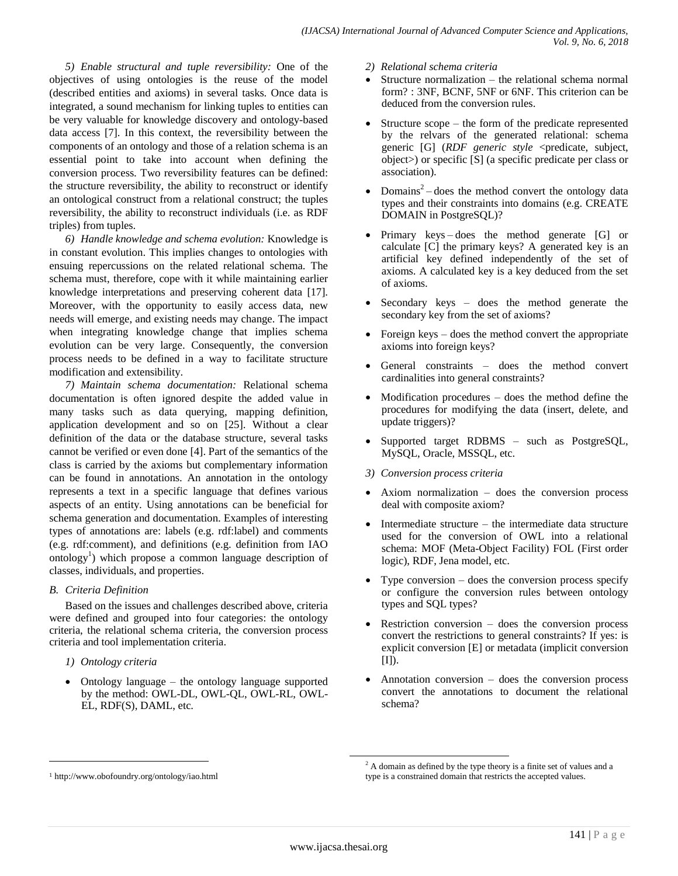*5) Enable structural and tuple reversibility:* One of the objectives of using ontologies is the reuse of the model (described entities and axioms) in several tasks. Once data is integrated, a sound mechanism for linking tuples to entities can be very valuable for knowledge discovery and ontology-based data access [7]. In this context, the reversibility between the components of an ontology and those of a relation schema is an essential point to take into account when defining the conversion process. Two reversibility features can be defined: the structure reversibility, the ability to reconstruct or identify an ontological construct from a relational construct; the tuples reversibility, the ability to reconstruct individuals (i.e. as RDF triples) from tuples.

*6) Handle knowledge and schema evolution:* Knowledge is in constant evolution. This implies changes to ontologies with ensuing repercussions on the related relational schema. The schema must, therefore, cope with it while maintaining earlier knowledge interpretations and preserving coherent data [17]. Moreover, with the opportunity to easily access data, new needs will emerge, and existing needs may change. The impact when integrating knowledge change that implies schema evolution can be very large. Consequently, the conversion process needs to be defined in a way to facilitate structure modification and extensibility.

*7) Maintain schema documentation:* Relational schema documentation is often ignored despite the added value in many tasks such as data querying, mapping definition, application development and so on [25]. Without a clear definition of the data or the database structure, several tasks cannot be verified or even done [4]. Part of the semantics of the class is carried by the axioms but complementary information can be found in annotations. An annotation in the ontology represents a text in a specific language that defines various aspects of an entity. Using annotations can be beneficial for schema generation and documentation. Examples of interesting types of annotations are: labels (e.g. rdf:label) and comments (e.g. rdf:comment), and definitions (e.g. definition from IAO ontology<sup>1</sup>) which propose a common language description of classes, individuals, and properties.

## *B. Criteria Definition*

Based on the issues and challenges described above, criteria were defined and grouped into four categories: the ontology criteria, the relational schema criteria, the conversion process criteria and tool implementation criteria.

*1) Ontology criteria*

l

 Ontology language – the ontology language supported by the method: OWL-DL, OWL-QL, OWL-RL, OWL-EL, RDF(S), DAML, etc.

- *2) Relational schema criteria*
- Structure normalization the relational schema normal form? : 3NF, BCNF, 5NF or 6NF. This criterion can be deduced from the conversion rules.
- Structure scope the form of the predicate represented by the relvars of the generated relational: schema generic [G] (*RDF generic style* <predicate, subject, object>) or specific [S] (a specific predicate per class or association).
- Domains<sup>2</sup> does the method convert the ontology data types and their constraints into domains (e.g. CREATE DOMAIN in PostgreSQL)?
- Primary keys does the method generate [G] or calculate [C] the primary keys? A generated key is an artificial key defined independently of the set of axioms. A calculated key is a key deduced from the set of axioms.
- Secondary keys does the method generate the secondary key from the set of axioms?
- Foreign keys does the method convert the appropriate axioms into foreign keys?
- General constraints does the method convert cardinalities into general constraints?
- Modification procedures does the method define the procedures for modifying the data (insert, delete, and update triggers)?
- Supported target RDBMS such as PostgreSQL, MySQL, Oracle, MSSQL, etc.
- *3) Conversion process criteria*
- Axiom normalization does the conversion process deal with composite axiom?
- Intermediate structure the intermediate data structure used for the conversion of OWL into a relational schema: MOF (Meta-Object Facility) FOL (First order logic), RDF, Jena model, etc.
- Type conversion does the conversion process specify or configure the conversion rules between ontology types and SQL types?
- Restriction conversion does the conversion process convert the restrictions to general constraints? If yes: is explicit conversion [E] or metadata (implicit conversion [I]).
- Annotation conversion does the conversion process convert the annotations to document the relational schema?

 $\overline{a}$ 

<sup>1</sup> http://www.obofoundry.org/ontology/iao.html

 $2$  A domain as defined by the type theory is a finite set of values and a type is a constrained domain that restricts the accepted values.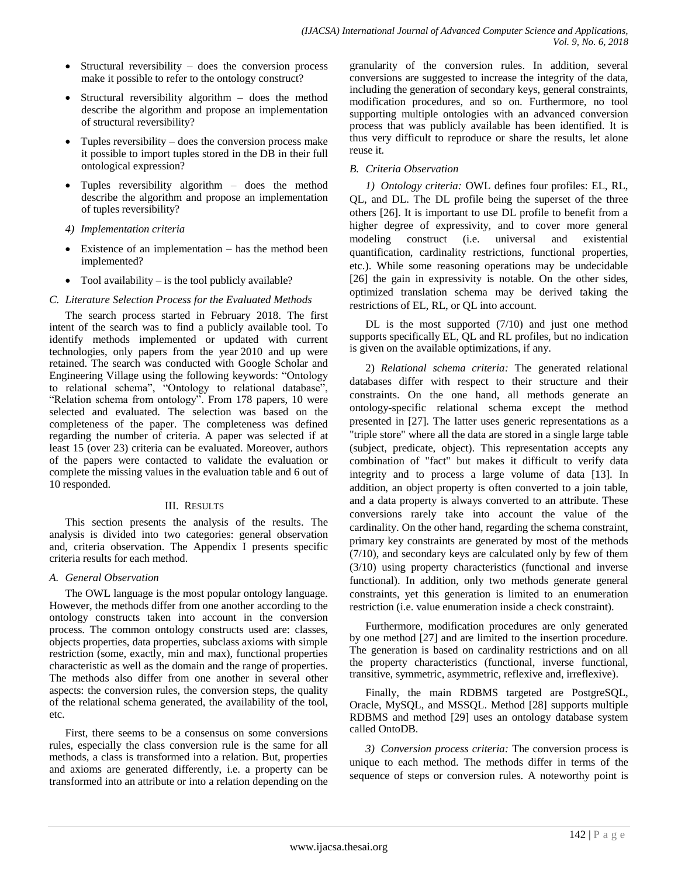- Structural reversibility  $-$  does the conversion process make it possible to refer to the ontology construct?
- Structural reversibility algorithm does the method describe the algorithm and propose an implementation of structural reversibility?
- Tuples reversibility  $-\text{does the conversion process make}$ it possible to import tuples stored in the DB in their full ontological expression?
- Tuples reversibility algorithm does the method describe the algorithm and propose an implementation of tuples reversibility?
- *4) Implementation criteria*
- Existence of an implementation has the method been implemented?
- Tool availability is the tool publicly available?

## *C. Literature Selection Process for the Evaluated Methods*

The search process started in February 2018. The first intent of the search was to find a publicly available tool. To identify methods implemented or updated with current technologies, only papers from the year 2010 and up were retained. The search was conducted with Google Scholar and Engineering Village using the following keywords: "Ontology to relational schema", "Ontology to relational database", "Relation schema from ontology". From 178 papers, 10 were selected and evaluated. The selection was based on the completeness of the paper. The completeness was defined regarding the number of criteria. A paper was selected if at least 15 (over 23) criteria can be evaluated. Moreover, authors of the papers were contacted to validate the evaluation or complete the missing values in the evaluation table and 6 out of 10 responded.

#### III. RESULTS

This section presents the analysis of the results. The analysis is divided into two categories: general observation and, criteria observation. The Appendix I presents specific criteria results for each method.

## *A. General Observation*

The OWL language is the most popular ontology language. However, the methods differ from one another according to the ontology constructs taken into account in the conversion process. The common ontology constructs used are: classes, objects properties, data properties, subclass axioms with simple restriction (some, exactly, min and max), functional properties characteristic as well as the domain and the range of properties. The methods also differ from one another in several other aspects: the conversion rules, the conversion steps, the quality of the relational schema generated, the availability of the tool, etc.

First, there seems to be a consensus on some conversions rules, especially the class conversion rule is the same for all methods, a class is transformed into a relation. But, properties and axioms are generated differently, i.e. a property can be transformed into an attribute or into a relation depending on the granularity of the conversion rules. In addition, several conversions are suggested to increase the integrity of the data, including the generation of secondary keys, general constraints, modification procedures, and so on. Furthermore, no tool supporting multiple ontologies with an advanced conversion process that was publicly available has been identified. It is thus very difficult to reproduce or share the results, let alone reuse it.

#### *B. Criteria Observation*

*1) Ontology criteria:* OWL defines four profiles: EL, RL, QL, and DL. The DL profile being the superset of the three others [26]. It is important to use DL profile to benefit from a higher degree of expressivity, and to cover more general modeling construct (i.e. universal and existential quantification, cardinality restrictions, functional properties, etc.). While some reasoning operations may be undecidable [26] the gain in expressivity is notable. On the other sides, optimized translation schema may be derived taking the restrictions of EL, RL, or QL into account.

DL is the most supported  $(7/10)$  and just one method supports specifically EL, QL and RL profiles, but no indication is given on the available optimizations, if any.

2) *Relational schema criteria:* The generated relational databases differ with respect to their structure and their constraints. On the one hand, all methods generate an ontology-specific relational schema except the method presented in [27]. The latter uses generic representations as a "triple store" where all the data are stored in a single large table (subject, predicate, object). This representation accepts any combination of "fact" but makes it difficult to verify data integrity and to process a large volume of data [13]. In addition, an object property is often converted to a join table, and a data property is always converted to an attribute. These conversions rarely take into account the value of the cardinality. On the other hand, regarding the schema constraint, primary key constraints are generated by most of the methods (7/10), and secondary keys are calculated only by few of them (3/10) using property characteristics (functional and inverse functional). In addition, only two methods generate general constraints, yet this generation is limited to an enumeration restriction (i.e. value enumeration inside a check constraint).

Furthermore, modification procedures are only generated by one method [27] and are limited to the insertion procedure. The generation is based on cardinality restrictions and on all the property characteristics (functional, inverse functional, transitive, symmetric, asymmetric, reflexive and, irreflexive).

Finally, the main RDBMS targeted are PostgreSQL, Oracle, MySQL, and MSSQL. Method [28] supports multiple RDBMS and method [29] uses an ontology database system called OntoDB.

*3) Conversion process criteria:* The conversion process is unique to each method. The methods differ in terms of the sequence of steps or conversion rules. A noteworthy point is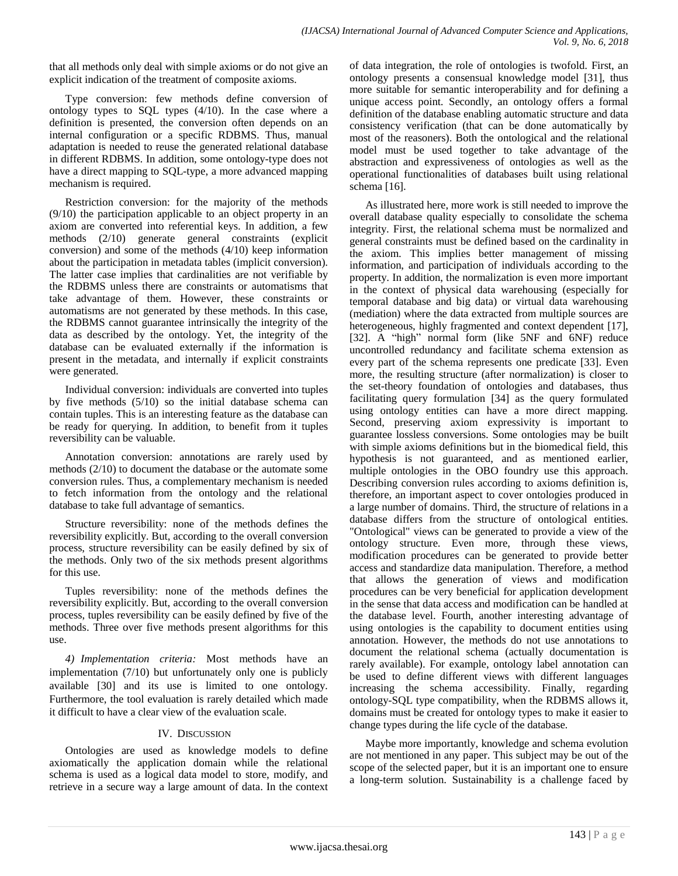that all methods only deal with simple axioms or do not give an explicit indication of the treatment of composite axioms.

Type conversion: few methods define conversion of ontology types to SQL types (4/10). In the case where a definition is presented, the conversion often depends on an internal configuration or a specific RDBMS. Thus, manual adaptation is needed to reuse the generated relational database in different RDBMS. In addition, some ontology-type does not have a direct mapping to SQL-type, a more advanced mapping mechanism is required.

Restriction conversion: for the majority of the methods (9/10) the participation applicable to an object property in an axiom are converted into referential keys. In addition, a few methods (2/10) generate general constraints (explicit conversion) and some of the methods (4/10) keep information about the participation in metadata tables (implicit conversion). The latter case implies that cardinalities are not verifiable by the RDBMS unless there are constraints or automatisms that take advantage of them. However, these constraints or automatisms are not generated by these methods. In this case, the RDBMS cannot guarantee intrinsically the integrity of the data as described by the ontology. Yet, the integrity of the database can be evaluated externally if the information is present in the metadata, and internally if explicit constraints were generated.

Individual conversion: individuals are converted into tuples by five methods (5/10) so the initial database schema can contain tuples. This is an interesting feature as the database can be ready for querying. In addition, to benefit from it tuples reversibility can be valuable.

Annotation conversion: annotations are rarely used by methods (2/10) to document the database or the automate some conversion rules. Thus, a complementary mechanism is needed to fetch information from the ontology and the relational database to take full advantage of semantics.

Structure reversibility: none of the methods defines the reversibility explicitly. But, according to the overall conversion process, structure reversibility can be easily defined by six of the methods. Only two of the six methods present algorithms for this use.

Tuples reversibility: none of the methods defines the reversibility explicitly. But, according to the overall conversion process, tuples reversibility can be easily defined by five of the methods. Three over five methods present algorithms for this use.

*4) Implementation criteria:* Most methods have an implementation (7/10) but unfortunately only one is publicly available [30] and its use is limited to one ontology. Furthermore, the tool evaluation is rarely detailed which made it difficult to have a clear view of the evaluation scale.

## IV. DISCUSSION

Ontologies are used as knowledge models to define axiomatically the application domain while the relational schema is used as a logical data model to store, modify, and retrieve in a secure way a large amount of data. In the context of data integration, the role of ontologies is twofold. First, an ontology presents a consensual knowledge model [31], thus more suitable for semantic interoperability and for defining a unique access point. Secondly, an ontology offers a formal definition of the database enabling automatic structure and data consistency verification (that can be done automatically by most of the reasoners). Both the ontological and the relational model must be used together to take advantage of the abstraction and expressiveness of ontologies as well as the operational functionalities of databases built using relational schema [16].

As illustrated here, more work is still needed to improve the overall database quality especially to consolidate the schema integrity. First, the relational schema must be normalized and general constraints must be defined based on the cardinality in the axiom. This implies better management of missing information, and participation of individuals according to the property. In addition, the normalization is even more important in the context of physical data warehousing (especially for temporal database and big data) or virtual data warehousing (mediation) where the data extracted from multiple sources are heterogeneous, highly fragmented and context dependent [17], [32]. A "high" normal form (like 5NF and 6NF) reduce uncontrolled redundancy and facilitate schema extension as every part of the schema represents one predicate [33]. Even more, the resulting structure (after normalization) is closer to the set-theory foundation of ontologies and databases, thus facilitating query formulation [34] as the query formulated using ontology entities can have a more direct mapping. Second, preserving axiom expressivity is important to guarantee lossless conversions. Some ontologies may be built with simple axioms definitions but in the biomedical field, this hypothesis is not guaranteed, and as mentioned earlier, multiple ontologies in the OBO foundry use this approach. Describing conversion rules according to axioms definition is, therefore, an important aspect to cover ontologies produced in a large number of domains. Third, the structure of relations in a database differs from the structure of ontological entities. "Ontological" views can be generated to provide a view of the ontology structure. Even more, through these views, modification procedures can be generated to provide better access and standardize data manipulation. Therefore, a method that allows the generation of views and modification procedures can be very beneficial for application development in the sense that data access and modification can be handled at the database level. Fourth, another interesting advantage of using ontologies is the capability to document entities using annotation. However, the methods do not use annotations to document the relational schema (actually documentation is rarely available). For example, ontology label annotation can be used to define different views with different languages increasing the schema accessibility. Finally, regarding ontology-SQL type compatibility, when the RDBMS allows it, domains must be created for ontology types to make it easier to change types during the life cycle of the database.

Maybe more importantly, knowledge and schema evolution are not mentioned in any paper. This subject may be out of the scope of the selected paper, but it is an important one to ensure a long-term solution. Sustainability is a challenge faced by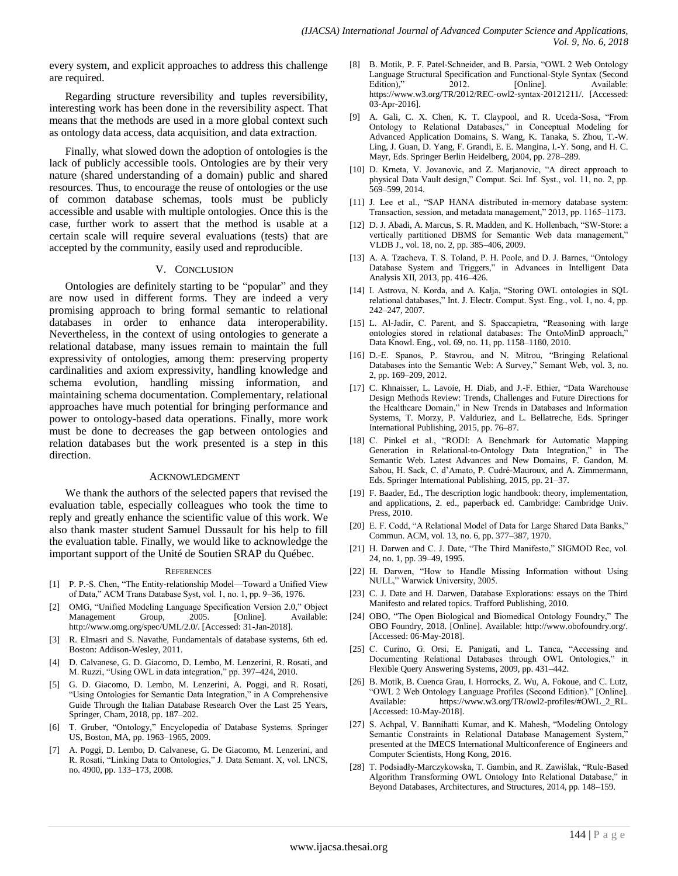every system, and explicit approaches to address this challenge are required.

Regarding structure reversibility and tuples reversibility, interesting work has been done in the reversibility aspect. That means that the methods are used in a more global context such as ontology data access, data acquisition, and data extraction.

Finally, what slowed down the adoption of ontologies is the lack of publicly accessible tools. Ontologies are by their very nature (shared understanding of a domain) public and shared resources. Thus, to encourage the reuse of ontologies or the use of common database schemas, tools must be publicly accessible and usable with multiple ontologies. Once this is the case, further work to assert that the method is usable at a certain scale will require several evaluations (tests) that are accepted by the community, easily used and reproducible.

#### V. CONCLUSION

Ontologies are definitely starting to be "popular" and they are now used in different forms. They are indeed a very promising approach to bring formal semantic to relational databases in order to enhance data interoperability. Nevertheless, in the context of using ontologies to generate a relational database, many issues remain to maintain the full expressivity of ontologies, among them: preserving property cardinalities and axiom expressivity, handling knowledge and schema evolution, handling missing information, and maintaining schema documentation. Complementary, relational approaches have much potential for bringing performance and power to ontology-based data operations. Finally, more work must be done to decreases the gap between ontologies and relation databases but the work presented is a step in this direction.

#### ACKNOWLEDGMENT

We thank the authors of the selected papers that revised the evaluation table, especially colleagues who took the time to reply and greatly enhance the scientific value of this work. We also thank master student Samuel Dussault for his help to fill the evaluation table. Finally, we would like to acknowledge the important support of the Unité de Soutien SRAP du Québec.

#### **REFERENCES**

- [1] P. P.-S. Chen, "The Entity-relationship Model—Toward a Unified View of Data," ACM Trans Database Syst, vol. 1, no. 1, pp. 9-36, 1976.
- [2] OMG, "Unified Modeling Language Specification Version 2.0," Object Management Group, 2005. [Online]. Available: http://www.omg.org/spec/UML/2.0/. [Accessed: 31-Jan-2018].
- [3] R. Elmasri and S. Navathe, Fundamentals of database systems, 6th ed. Boston: Addison-Wesley, 2011.
- [4] D. Calvanese, G. D. Giacomo, D. Lembo, M. Lenzerini, R. Rosati, and M. Ruzzi, "Using OWL in data integration," pp. 397-424, 2010.
- [5] G. D. Giacomo, D. Lembo, M. Lenzerini, A. Poggi, and R. Rosati, "Using Ontologies for Semantic Data Integration," in A Comprehensive Guide Through the Italian Database Research Over the Last 25 Years, Springer, Cham, 2018, pp. 187–202.
- [6] T. Gruber, "Ontology," Encyclopedia of Database Systems. Springer US, Boston, MA, pp. 1963–1965, 2009.
- [7] A. Poggi, D. Lembo, D. Calvanese, G. De Giacomo, M. Lenzerini, and R. Rosati, "Linking Data to Ontologies," J. Data Semant. X, vol. LNCS, no. 4900, pp. 133–173, 2008.
- [8] B. Motik, P. F. Patel-Schneider, and B. Parsia, "OWL 2 Web Ontology Language Structural Specification and Functional-Style Syntax (Second Edition)." 2012. [Online]. Available: Edition)," 2012. [Online]. Available: https://www.w3.org/TR/2012/REC-owl2-syntax-20121211/. [Accessed: 03-Apr-2016].
- [9] A. Gali, C. X. Chen, K. T. Claypool, and R. Uceda-Sosa, "From Ontology to Relational Databases," in Conceptual Modeling for Advanced Application Domains, S. Wang, K. Tanaka, S. Zhou, T.-W. Ling, J. Guan, D. Yang, F. Grandi, E. E. Mangina, I.-Y. Song, and H. C. Mayr, Eds. Springer Berlin Heidelberg, 2004, pp. 278–289.
- [10] D. Krneta, V. Jovanovic, and Z. Marjanovic, "A direct approach to physical Data Vault design," Comput. Sci. Inf. Syst., vol. 11, no. 2, pp. 569–599, 2014.
- [11] J. Lee et al., "SAP HANA distributed in-memory database system: Transaction, session, and metadata management," 2013, pp. 1165-1173.
- [12] D. J. Abadi, A. Marcus, S. R. Madden, and K. Hollenbach, "SW-Store: a vertically partitioned DBMS for Semantic Web data management," VLDB J., vol. 18, no. 2, pp. 385–406, 2009.
- [13] A. A. Tzacheva, T. S. Toland, P. H. Poole, and D. J. Barnes, "Ontology Database System and Triggers," in Advances in Intelligent Data Analysis XII, 2013, pp. 416–426.
- [14] I. Astrova, N. Korda, and A. Kalja, "Storing OWL ontologies in SQL relational databases," Int. J. Electr. Comput. Syst. Eng., vol. 1, no. 4, pp. 242–247, 2007.
- [15] L. Al-Jadir, C. Parent, and S. Spaccapietra, "Reasoning with large ontologies stored in relational databases: The OntoMinD approach," Data Knowl. Eng., vol. 69, no. 11, pp. 1158–1180, 2010.
- [16] D.-E. Spanos, P. Stavrou, and N. Mitrou, "Bringing Relational Databases into the Semantic Web: A Survey," Semant Web, vol. 3, no. 2, pp. 169–209, 2012.
- [17] C. Khnaisser, L. Lavoie, H. Diab, and J.-F. Ethier, "Data Warehouse Design Methods Review: Trends, Challenges and Future Directions for the Healthcare Domain,‖ in New Trends in Databases and Information Systems, T. Morzy, P. Valduriez, and L. Bellatreche, Eds. Springer International Publishing, 2015, pp. 76–87.
- [18] C. Pinkel et al., "RODI: A Benchmark for Automatic Mapping Generation in Relational-to-Ontology Data Integration," in The Semantic Web. Latest Advances and New Domains, F. Gandon, M. Sabou, H. Sack, C. d'Amato, P. Cudré-Mauroux, and A. Zimmermann, Eds. Springer International Publishing, 2015, pp. 21–37.
- [19] F. Baader, Ed., The description logic handbook: theory, implementation, and applications, 2. ed., paperback ed. Cambridge: Cambridge Univ. Press, 2010.
- [20] E. F. Codd, "A Relational Model of Data for Large Shared Data Banks," Commun. ACM, vol. 13, no. 6, pp. 377–387, 1970.
- [21] H. Darwen and C. J. Date, "The Third Manifesto," SIGMOD Rec, vol. 24, no. 1, pp. 39–49, 1995.
- [22] H. Darwen, "How to Handle Missing Information without Using NULL," Warwick University, 2005.
- [23] C. J. Date and H. Darwen, Database Explorations: essays on the Third Manifesto and related topics. Trafford Publishing, 2010.
- [24] OBO, "The Open Biological and Biomedical Ontology Foundry," The OBO Foundry, 2018. [Online]. Available: http://www.obofoundry.org/. [Accessed: 06-May-2018].
- [25] C. Curino, G. Orsi, E. Panigati, and L. Tanca, "Accessing and Documenting Relational Databases through OWL Ontologies," in Flexible Query Answering Systems, 2009, pp. 431–442.
- [26] B. Motik, B. Cuenca Grau, I. Horrocks, Z. Wu, A. Fokoue, and C. Lutz, "OWL 2 Web Ontology Language Profiles (Second Edition)." [Online]. Available: https://www.w3.org/TR/owl2-profiles/#OWL\_2\_RL. [Accessed: 10-May-2018].
- [27] S. Achpal, V. Bannihatti Kumar, and K. Mahesh, "Modeling Ontology Semantic Constraints in Relational Database Management System, presented at the IMECS International Multiconference of Engineers and Computer Scientists, Hong Kong, 2016.
- [28] T. Podsiadły-Marczykowska, T. Gambin, and R. Zawiślak, "Rule-Based Algorithm Transforming OWL Ontology Into Relational Database," in Beyond Databases, Architectures, and Structures, 2014, pp. 148–159.